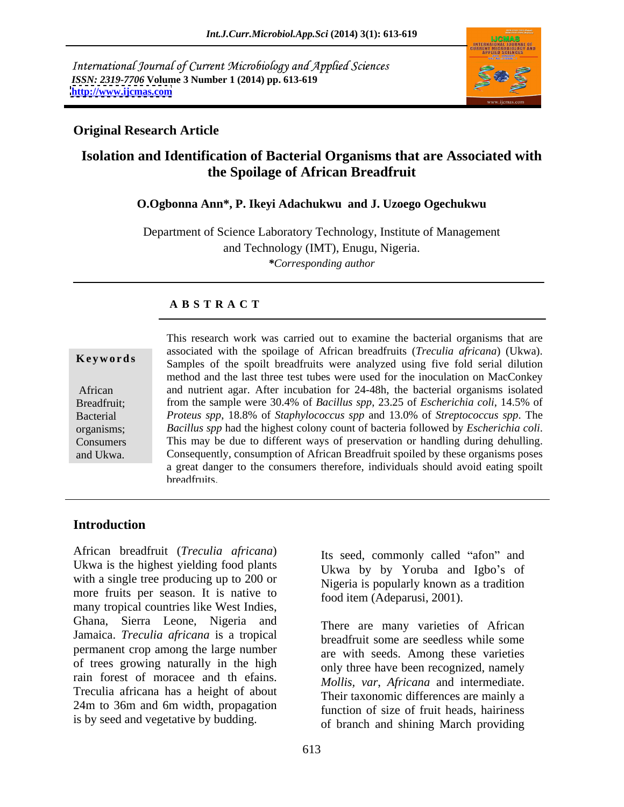International Journal of Current Microbiology and Applied Sciences *ISSN: 2319-7706* **Volume 3 Number 1 (2014) pp. 613-619 <http://www.ijcmas.com>**



### **Original Research Article**

# **Isolation and Identification of Bacterial Organisms that are Associated with the Spoilage of African Breadfruit**

### **O.Ogbonna Ann\*, P. Ikeyi Adachukwu and J. Uzoego Ogechukwu**

Department of Science Laboratory Technology, Institute of Management and Technology (IMT), Enugu, Nigeria. *\*Corresponding author* 

### **A B S T R A C T**

**Keywords** Samples of the spoilt breadfruits were analyzed using five fold serial dilution African and nutrient agar. After incubation for 24-48h, the bacterial organisms isolated Breadfruit; from the sample were 30.4% of *Bacillus spp*, 23.25 of *Escherichia coli*, 14.5% of Bacterial *Proteus spp*, 18.8% of *Staphylococcus spp* and 13.0% of *Streptococcus spp*. The organisms; Bacillus spp had the highest colony count of bacteria followed by *Escherichia coli*. organisms; *Bacillus spp* had the highest colony count of bacteria followed by *Escherichia coli*.<br>Consumers This may be due to different ways of preservation or handling during dehulling. and Ukwa. Consequently, consumption of African Breadfruit spoiled by these organisms poses This research work was carried out to examine the bacterial organisms that are associated with the spoilage of African breadfruits (*Treculia africana*) (Ukwa). method and the last three test tubes were used for the inoculation on MacConkey a great danger to the consumers therefore, individuals should avoid eating spoilt **breadfruits** 

# **Introduction**

African breadfruit (*Treculia africana*) Its seed, commonly called "afon" and Ukwa is the highest yielding food plants with a single tree producing up to 200 or more fruits per season. It is native to many tropical countries like West Indies, Ghana, Sierra Leone, Nigeria and Jamaica. *Treculia africana* is a tropical permanent crop among the large number of trees growing naturally in the high rain forest of moracee and th efains. Treculia africana has a height of about 24m to 36m and 6m width, propagation Aincan breadirult (*Frectula africana*)<br>
Its seed, commonly called "afon" and<br>
Ukwa is the highest yielding food plants<br>
with a single tree producing up to 200 or<br>
more fruits per season. It is native to<br>
many tropical cou

Ukwa by by Yoruba and Igbo's of Nigeria is popularly known as a tradition food item (Adeparusi, 2001).

There are many varieties of African breadfruit some are seedless while some are with seeds. Among these varieties only three have been recognized, namely *Mollis, var*, *Africana* and intermediate. Their taxonomic differences are mainly a function of size of fruit heads, hairiness of branch and shining March providing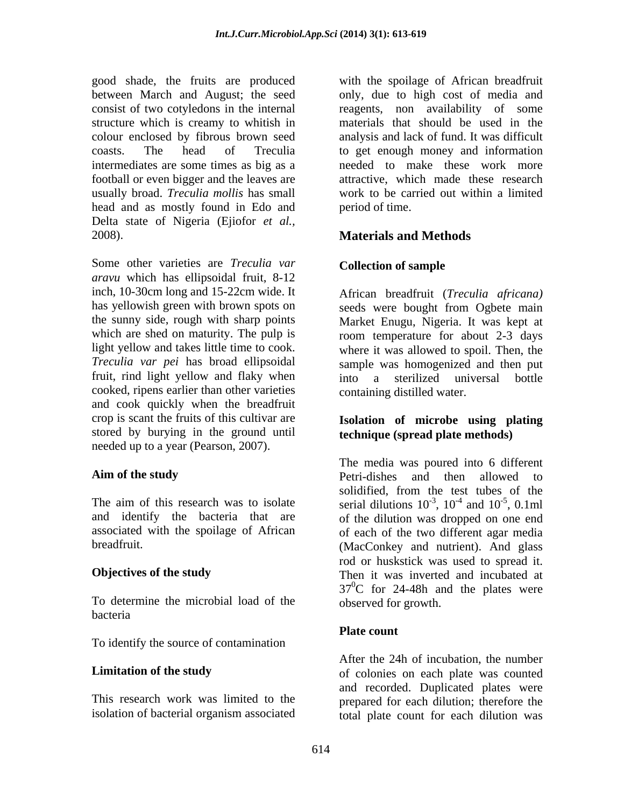good shade, the fruits are produced between March and August; the seed only, due to high cost of media and consist of two cotyledons in the internal reagents, non availability of some structure which is creamy to whitish in materials that should be used in the colour enclosed by fibrous brown seed analysis and lack of fund. It was difficult coasts. The head of Treculia to get enough money and information intermediates are some times as big as a needed to make these work more football or even bigger and the leaves are usually broad. *Treculia mollis* has small head and as mostly found in Edo and Delta state of Nigeria (Ejiofor *et al.,* 2008). **Materials and Methods**

Some other varieties are *Treculia var* Collection of sample *aravu* which has ellipsoidal fruit, 8-12 inch, 10-30cm long and 15-22cm wide. It has yellowish green with brown spots on seeds were bought from Ogbete main the sunny side, rough with sharp points Market Enugu, Nigeria. It was kept at which are shed on maturity. The pulp is room temperature for about 2-3 days light yellow and takes little time to cook. *Treculia var pei* has broad ellipsoidal sample was homogenized and then put fruit, rind light yellow and flaky when into a sterilized universal bottle cooked, ripens earlier than other varieties and cook quickly when the breadfruit crop is scant the fruits of this cultivar are **Isolation of microbe using plating** stored by burying in the ground until needed up to a year (Pearson, 2007).

To determine the microbial load of the bacteria e a contra de la contrada de la contrada de la contrada de la contrada de la contrada de la contrada de la contrada de la contrada de la contrada de la contrada de la contrada de la contrada de la contrada de la c

To identify the source of contamination

with the spoilage of African breadfruit attractive, which made these research work to be carried out within a limited period of time.

## **Collection of sample**

African breadfruit (*Treculia africana)* where it was allowed to spoil. Then, the into a sterilized universal bottle containing distilled water.

# **technique (spread plate methods)**

**Aim of the study Conserverse Example 2 and the petri-dishes and then allowed to** The aim of this research was to isolate serial dilutions  $10^{-3}$ ,  $10^{-4}$  and  $10^{-5}$ , 0.1ml and identify the bacteria that are of the dilution was dropped on one end associated with the spoilage of African of each of the two different agar media breadfruit. (MacConkey and nutrient). And glass **Objectives of the study** Then it was inverted and incubated at The media was poured into 6 different Petri-dishes and then allowed to solidified, from the test tubes of the ,  $10^{-4}$  and  $10^{-5}$ ,  $0.1$ ml  $-4$  and  $10^{-5}$  0.1 ml and  $10^{-5}$ , 0.1ml  $-5 \ \Omega \text{1m}$ , 0.1ml rod or huskstick was used to spread it.Then it was inverted and incubated at  $37^{\circ}$ C for 24-48h and the plates were observed for growth.

### **Plate count**

**Limitation of the study** of colonies on each plate was counted This research work was limited to the prepared for each dilution; therefore the isolation of bacterial organism associated total plate count for each dilution was After the 24h of incubation, the number and recorded. Duplicated plates were total plate count for each dilution was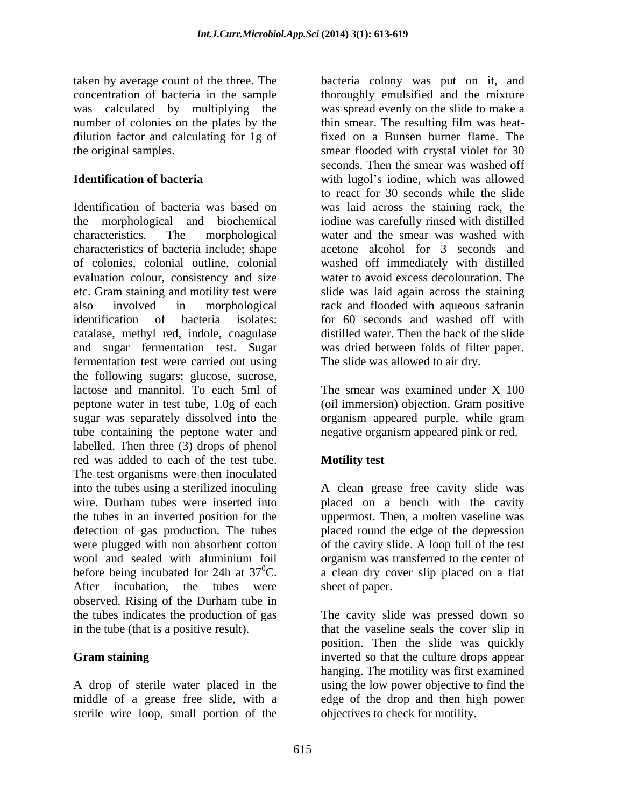number of colonies on the plates by the thin smear. The resulting film was heatdilution factor and calculating for 1g of

Identification of bacteria was based on was laid across the staining rack, the the morphological and biochemical iodine was carefully rinsed with distilled characteristics. The morphological water and the smear was washed with characteristics of bacteria include; shape of colonies, colonial outline, colonial washed off immediately with distilled evaluation colour, consistency and size etc. Gram staining and motility test were slidewas laid again across the staining also involved in morphological rack and flooded with aqueous safranin identification of bacteria isolates: for 60 seconds and washed off with catalase, methyl red, indole, coagulase and sugar fermentation test. Sugar fermentation test were carried out using the following sugars; glucose, sucrose, lactose and mannitol. To each 5ml of peptone water in test tube, 1.0g of each sugar was separately dissolved into the tube containing the peptone water and labelled. Then three (3) drops of phenol red was added to each of the test tube. The test organisms were then inoculated into the tubes using a sterilized inoculing A clean grease free cavity slide was wire. Durham tubes were inserted into placed on a bench with the cavity the tubes in an inverted position for the uppermost. Then, a molten vaseline was detection of gas production. The tubes placed round the edge of the depression were plugged with non absorbent cotton of the cavity slide. A loop full of the test wool and sealed with aluminium foil organism was transferred to the center of before being incubated for 24h at  $37^{\circ}$ C. a clean dry cover slip placed on a flat After incubation, the tubes were observed. Rising of the Durham tube in the tubes indicates the production of gas The cavity slide was pressed down so in the tube (that is a positive result). that the vaseline seals the cover slip in

A drop of sterile water placed in the middle of a grease free slide, with a sterile wire loop, small portion of the

taken by average count of the three. The bacteria colony was put on it, and concentration of bacteria in the sample thoroughly emulsified and the mixture was calculated by multiplying the was spread evenly on the slide to make a the original samples. smear flooded with crystal violet for 30 **Identification of bacteria** with lugol's iodine, which was allowed thin smear. The resulting film was heatfixed on a Bunsen burner flame. The seconds. Then the smear was washed off to react for 30 seconds while the slide acetone alcohol for 3 seconds and water to avoid excess decolouration. The distilled water. Then the back of the slide was dried between folds of filter paper. The slide was allowed to air dry.

> The smear was examined under X 100 (oil immersion) objection. Gram positive organism appeared purple, while gram negative organism appeared pink or red.

## **Motility test**

organism was transferred to the center of sheet of paper.

**Gram staining inverted so that the culture drops appear** position. Then the slide was quickly hanging. The motility was first examined using the low power objective to find the edge of the drop and then high power objectives to check for motility.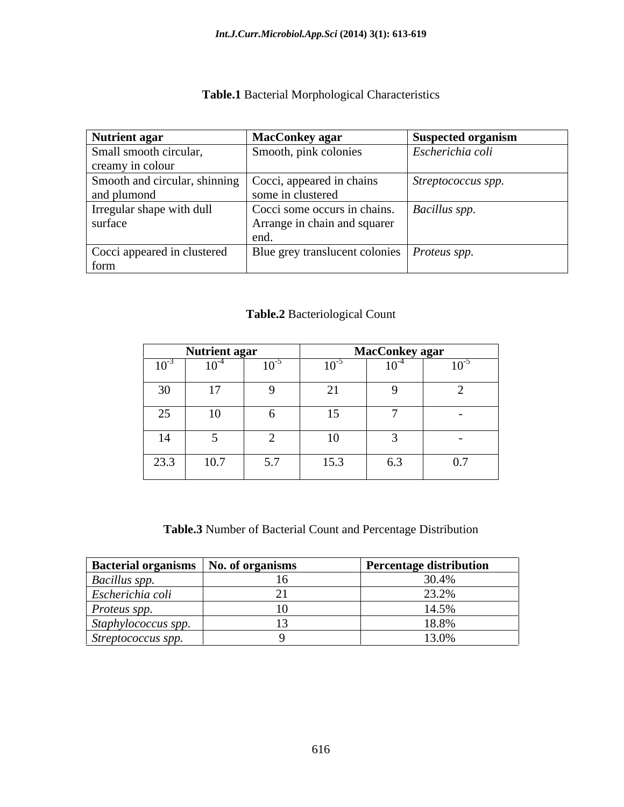### **Table.1** Bacterial Morphological Characteristics

| Nutrient agar                                           | <b>MacConkey agar</b>                         | <b>Suspected organism</b> |
|---------------------------------------------------------|-----------------------------------------------|---------------------------|
| Small smooth circular,                                  | Smooth, pink colonies                         | Escherichia coli          |
| creamy in colour                                        |                                               |                           |
| Smooth and circular, shinning Cocci, appeared in chains |                                               | Streptococcus spp.        |
| and plumond                                             | some in clustered                             |                           |
| Irregular shape with dull                               | Cocci some occurs in chains.   Bacillus spp.  |                           |
| surface                                                 | Arrange in chain and squarer                  |                           |
|                                                         |                                               |                           |
| Cocci appeared in clustered                             | Blue grey translucent colonies   Proteus spp. |                           |
| form                                                    |                                               |                           |

# **Table.2** Bacteriological Count

|           | <b>Nutrient agar</b> |                             |                                    | MacConkey agar |           |
|-----------|----------------------|-----------------------------|------------------------------------|----------------|-----------|
| $10^{-3}$ | $10^{-4}$            | $\sim$ $\sim$ $\sim$<br>1 V | $10^{-5}$                          | $10^{-4}$      | $10^{-5}$ |
| 30        |                      |                             | $\sim$<br>$\overline{\phantom{a}}$ |                |           |
| 25<br>رے  | 10                   |                             | 15<br>1 J                          |                | $\sim$    |
| 14        |                      |                             | 10                                 |                |           |
| 23.3      | 10.7                 | 57<br>. <i>.</i>            | 15.3                               | 6.3            | 0.7       |

**Table.3** Number of Bacterial Count and Percentage Distribution

| <b>Bacterial organisms   No. of organisms</b> | <b>Percentage distribution</b> |
|-----------------------------------------------|--------------------------------|
| <b>Bacillus spp.</b>                          |                                |
| <i>Escherichia coli</i>                       | 22.2 <sup>o</sup><br>4.3.270   |
| <i>Proteus spp.</i>                           | $1.4$ Fol.                     |
| Staphylococcus spp.                           | 10 00/                         |
| Streptococcus spp.                            |                                |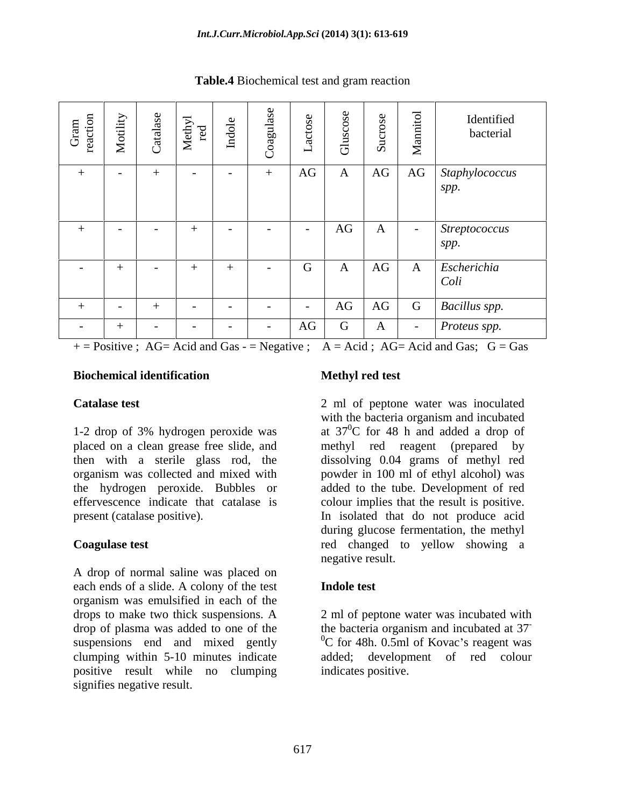| $\sim$ $\approx$<br>ာ ဦ | tility<br>$\mathbf{M}$          | A)<br>$\cup$      | $\overline{\phantom{0}}$<br>$\overleftrightarrow{a}$<br>ਜ਼<br>$\overline{X}$ | $\Xi$<br>$\overline{\phantom{0}}$<br>$\circ$<br>$\cup$ | $\overline{\phantom{0}}$ | <u>ස්</u>          | $\boldsymbol{\Omega}$          | $\overline{\phantom{0}}$<br>$\geq$ | Identified<br>bacterial      |
|-------------------------|---------------------------------|-------------------|------------------------------------------------------------------------------|--------------------------------------------------------|--------------------------|--------------------|--------------------------------|------------------------------------|------------------------------|
|                         |                                 |                   | $\sim$ $-$                                                                   | $\sim$ $\sim$                                          | AG                       | $\mathbf{\Lambda}$ |                                |                                    | AG AG Staphylococcus         |
|                         |                                 |                   |                                                                              |                                                        |                          |                    |                                |                                    | spp.                         |
|                         | <b>Contract Contract</b>        | $\sim$ 100 $\sim$ | $+$                                                                          | $\sim 100$ m $^{-1}$<br>$\sim$ $\sim$ $\sim$           | $\sim$                   | AG                 | $\overline{a}$<br>$\mathbf{A}$ |                                    | Streptococcus<br>spp.        |
|                         |                                 |                   |                                                                              |                                                        |                          |                    |                                |                                    |                              |
| $\sim$ $-$              |                                 | <b>Service</b>    |                                                                              | $\sim$ $-$                                             | G                        | $\mathbf{A}$       | AG                             |                                    | A <i>Escherichia</i><br>Coli |
|                         | <b>Contract Contract Street</b> |                   | $\sim$ 100 $\sim$                                                            | <b>Contract Contract</b><br>$\sim$ $-$                 | $\sim$ $-$               |                    |                                |                                    | AG AG G Bacillus spp.        |
| $\sim$ $-$              |                                 | $\sim$ $-$        | $\sim$ $-$                                                                   | <b>Contract Contract</b><br>$\sim$ $\sim$              | AG                       | $\mathbf G$        | $\mathbf{A}$                   |                                    | Proteus spp.                 |

**Table.4** Biochemical test and gram reaction

 $+$  = Positive ; AG= Acid and Gas - = Negative ; A = Acid ; AG= Acid and Gas; G = Gas

### **Biochemical identification**

effervescence indicate that catalase is colour implies that the result is positive. present (catalase positive). In isolated that do not produce acid

A drop of normal saline was placed on each ends of a slide. A colony of the test organism was emulsified in each of the drops to make two thick suspensions. A clumping within 5-10 minutes indicate positive result while no clumping signifies negative result.

### **Methyl red test**

**Catalase test** 2 ml of peptone water was inoculated 1-2 drop of 3% hydrogen peroxide was  $\frac{370}{C}$  for 48 h and added a drop of placed on a clean grease free slide, and methyl red reagent (prepared by then with a sterile glass rod, the dissolving 0.04 grams of methyl red organism was collected and mixed with powder in 100 ml of ethyl alcohol) was the hydrogen peroxide. Bubbles or added to the tube. Development of red **Coagulase test** red changed to yellow showing a with the bacteria organism and incubated at 37 0C for 48 h and added a drop of colour implies that the result is positive.In isolated that do not produce acid during glucose fermentation, the methyl negative result.

### **Indole test**

drop of plasma was added to one of the the bacteria organism and incubated at 37 suspensions end and mixed gently  $^{0}C$  for 48h. 0.5ml of Kovac's reagent was 2 ml of peptone water was incubated with the bacteria organism and incubated at 37 **-** Andrew March 2014 added; development of red colour indicates positive.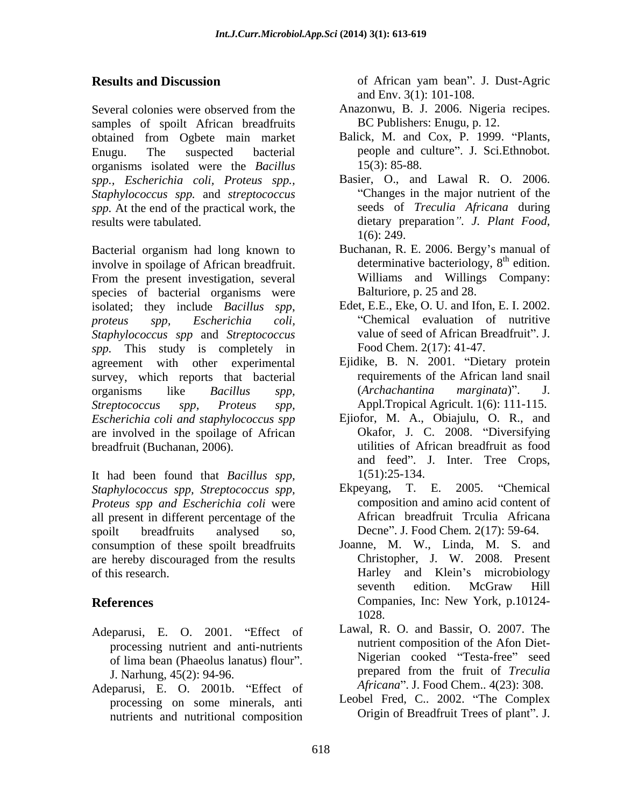samples of spoilt African breadfruits obtained from Ogbete main market organisms isolated were the *Bacillus spp., Escherichia coli, Proteus spp., Staphylococcus spp.* and *streptococcus spp.* At the end of the practical work, the

involve in spoilage of African breadfruit. From the present investigation, several species of bacterial organisms were isolated; they include *Bacillus spp*, *Staphylococcus spp* and *Streptococcus spp.* This study is completely in agreement with other experimental survey, which reports that bacterial *Streptococcus spp, Proteus spp,* Appl.Tropical Agricult. 1(6): 111-115. *Escherichia coli and staphylococcus spp* are involved in the spoilage of African

It had been found that *Bacillus spp, Staphylococcus spp, Streptococcus spp, Proteus spp and Escherichia coli* were all present in different percentage of the spoilt breadfruits analysed so, Decne". J. Food Chem. 2(17): 59-64. consumption of these spoilt breadfruits are hereby discouraged from the results

- Adeparusi, E. O. 2001. "Effect of processing nutrient and anti-nutrients of lima bean (Phaeolus lanatus) flour".
- Adeparusi, E. O. 2001b. "Effect of processing on some minerals, anti nutrients and nutritional composition

**Results and Discussion** of African yam bean". J. Dust-Agric and Env. 3(1): 101-108.

- Several colonies were observed from the **Anazonwu**, B. J. 2006. Nigeria recipes. Anazonwu, B. J. 2006. Nigeria recipes. BC Publishers: Enugu, p. 12.
- Enugu. The suspected bacterial people and culture". J. Sci.Ethnobot. Balick, M. and Cox, P. 1999. "Plants, 15(3): 85-88.
- results were tabulated. dietary preparation *. J. Plant Food,* Basier, O., and Lawal R. O. 2006. Changes in the major nutrient of the seeds of *Treculia Africana* during 1(6): 249.
- Bacterial organism had long known to Buchanan, R. E. 2006. Bergy's manual of Buchanan, R. E. 2006. Bergy's manual of determinative bacteriology,  $8<sup>th</sup>$  edition.  $th$  odition edition. Williams and Willings Company: Balturiore, p. 25 and 28.
- *proteus spp, Escherichia coli,* Chemical evaluation of nutritive Edet, E.E., Eke, O. U. and Ifon, E. I. 2002. value of seed of African Breadfruit". J. Food Chem. 2(17): 41-47.
- organisms like *Bacillus spp,* Ejidike, B. N. 2001. "Dietary protein requirements of the African land snail (*Archachantina marginata*) . J.
- breadfruit (Buchanan, 2006). utilities of African breadfruit as food Ejiofor, M. A., Obiajulu, O. R., and Okafor, J. C. 2008. "Diversifying and feed". J. Inter. Tree Crops, 1(51):25-134.
	- 2005. "Chemical composition and amino acid content of African breadfruit Trculia Africana
- of this research. The example of this research. The Harley and Klein's microbiology **References** Companies, Inc: New York, p.10124- Joanne, M. W., Linda, M. S. and Christopher, J. W. 2008. Present seventh edition. McGraw Hill 1028.
	- J. Narhung, 45(2): 94-96. prepared from the fruit of *Treculia*  Lawal, R. O. and Bassir, O. 2007. The nutrient composition of the Afon Diet- Nigerian cooked "Testa-free" seed *Africana* . J. Food Chem.. 4(23): 308.
		- Leobel Fred, C.. 2002. "The Complex Origin of Breadfruit Trees of plant". J.